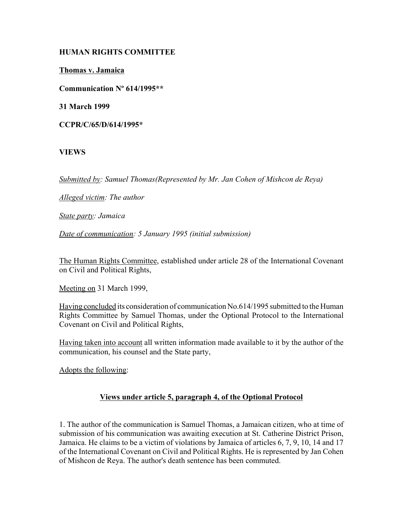## **HUMAN RIGHTS COMMITTEE**

**Thomas v. Jamaica**

**Communication Nº 614/1995\*\***

**31 March 1999**

**CCPR/C/65/D/614/1995\***

## **VIEWS**

*Submitted by: Samuel Thomas(Represented by Mr. Jan Cohen of Mishcon de Reya)* 

*Alleged victim: The author* 

*State party: Jamaica* 

*Date of communication: 5 January 1995 (initial submission)* 

The Human Rights Committee, established under article 28 of the International Covenant on Civil and Political Rights,

Meeting on 31 March 1999,

Having concluded its consideration of communication No.614/1995 submitted to the Human Rights Committee by Samuel Thomas, under the Optional Protocol to the International Covenant on Civil and Political Rights,

Having taken into account all written information made available to it by the author of the communication, his counsel and the State party,

Adopts the following:

## **Views under article 5, paragraph 4, of the Optional Protocol**

1. The author of the communication is Samuel Thomas, a Jamaican citizen, who at time of submission of his communication was awaiting execution at St. Catherine District Prison, Jamaica. He claims to be a victim of violations by Jamaica of articles 6, 7, 9, 10, 14 and 17 of the International Covenant on Civil and Political Rights. He is represented by Jan Cohen of Mishcon de Reya. The author's death sentence has been commuted.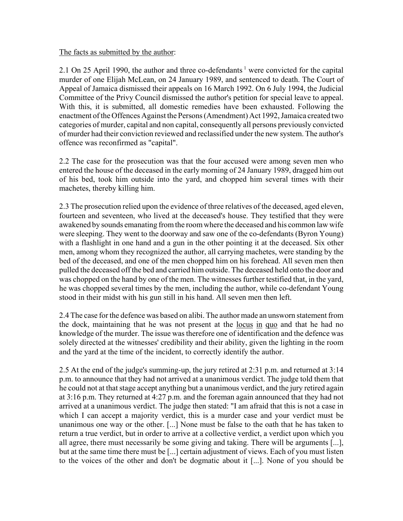#### The facts as submitted by the author:

2.1 On 25 April 1990, the author and three co-defendants<sup>1</sup> were convicted for the capital murder of one Elijah McLean, on 24 January 1989, and sentenced to death. The Court of Appeal of Jamaica dismissed their appeals on 16 March 1992. On 6 July 1994, the Judicial Committee of the Privy Council dismissed the author's petition for special leave to appeal. With this, it is submitted, all domestic remedies have been exhausted. Following the enactment of the Offences Against the Persons (Amendment) Act 1992, Jamaica created two categories of murder, capital and non capital, consequently all persons previously convicted of murder had their conviction reviewed and reclassified under the new system. The author's offence was reconfirmed as "capital".

2.2 The case for the prosecution was that the four accused were among seven men who entered the house of the deceased in the early morning of 24 January 1989, dragged him out of his bed, took him outside into the yard, and chopped him several times with their machetes, thereby killing him.

2.3 The prosecution relied upon the evidence of three relatives of the deceased, aged eleven, fourteen and seventeen, who lived at the deceased's house. They testified that they were awakened by sounds emanating from the room where the deceased and his common law wife were sleeping. They went to the doorway and saw one of the co-defendants (Byron Young) with a flashlight in one hand and a gun in the other pointing it at the deceased. Six other men, among whom they recognized the author, all carrying machetes, were standing by the bed of the deceased, and one of the men chopped him on his forehead. All seven men then pulled the deceased off the bed and carried him outside. The deceased held onto the door and was chopped on the hand by one of the men. The witnesses further testified that, in the yard, he was chopped several times by the men, including the author, while co-defendant Young stood in their midst with his gun still in his hand. All seven men then left.

2.4 The case for the defence was based on alibi. The author made an unsworn statement from the dock, maintaining that he was not present at the locus in quo and that he had no knowledge of the murder. The issue was therefore one of identification and the defence was solely directed at the witnesses' credibility and their ability, given the lighting in the room and the yard at the time of the incident, to correctly identify the author.

2.5 At the end of the judge's summing-up, the jury retired at 2:31 p.m. and returned at 3:14 p.m. to announce that they had not arrived at a unanimous verdict. The judge told them that he could not at that stage accept anything but a unanimous verdict, and the jury retired again at 3:16 p.m. They returned at 4:27 p.m. and the foreman again announced that they had not arrived at a unanimous verdict. The judge then stated: "I am afraid that this is not a case in which I can accept a majority verdict, this is a murder case and your verdict must be unanimous one way or the other. [...] None must be false to the oath that he has taken to return a true verdict, but in order to arrive at a collective verdict, a verdict upon which you all agree, there must necessarily be some giving and taking. There will be arguments [...], but at the same time there must be [...] certain adjustment of views. Each of you must listen to the voices of the other and don't be dogmatic about it [...]. None of you should be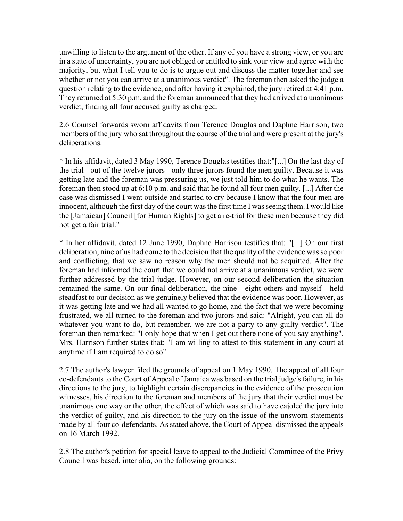unwilling to listen to the argument of the other. If any of you have a strong view, or you are in a state of uncertainty, you are not obliged or entitled to sink your view and agree with the majority, but what I tell you to do is to argue out and discuss the matter together and see whether or not you can arrive at a unanimous verdict". The foreman then asked the judge a question relating to the evidence, and after having it explained, the jury retired at 4:41 p.m. They returned at 5:30 p.m. and the foreman announced that they had arrived at a unanimous verdict, finding all four accused guilty as charged.

2.6 Counsel forwards sworn affidavits from Terence Douglas and Daphne Harrison, two members of the jury who sat throughout the course of the trial and were present at the jury's deliberations.

\* In his affidavit, dated 3 May 1990, Terence Douglas testifies that:"[...] On the last day of the trial - out of the twelve jurors - only three jurors found the men guilty. Because it was getting late and the foreman was pressuring us, we just told him to do what he wants. The foreman then stood up at 6:10 p.m. and said that he found all four men guilty. [...] After the case was dismissed I went outside and started to cry because I know that the four men are innocent, although the first day of the court was the first time I was seeing them. I would like the [Jamaican] Council [for Human Rights] to get a re-trial for these men because they did not get a fair trial."

\* In her affidavit, dated 12 June 1990, Daphne Harrison testifies that: "[...] On our first deliberation, nine of us had come to the decision that the quality of the evidence was so poor and conflicting, that we saw no reason why the men should not be acquitted. After the foreman had informed the court that we could not arrive at a unanimous verdict, we were further addressed by the trial judge. However, on our second deliberation the situation remained the same. On our final deliberation, the nine - eight others and myself - held steadfast to our decision as we genuinely believed that the evidence was poor. However, as it was getting late and we had all wanted to go home, and the fact that we were becoming frustrated, we all turned to the foreman and two jurors and said: "Alright, you can all do whatever you want to do, but remember, we are not a party to any guilty verdict". The foreman then remarked: "I only hope that when I get out there none of you say anything". Mrs. Harrison further states that: "I am willing to attest to this statement in any court at anytime if I am required to do so".

2.7 The author's lawyer filed the grounds of appeal on 1 May 1990. The appeal of all four co-defendants to the Court of Appeal of Jamaica was based on the trial judge's failure, in his directions to the jury, to highlight certain discrepancies in the evidence of the prosecution witnesses, his direction to the foreman and members of the jury that their verdict must be unanimous one way or the other, the effect of which was said to have cajoled the jury into the verdict of guilty, and his direction to the jury on the issue of the unsworn statements made by all four co-defendants. As stated above, the Court of Appeal dismissed the appeals on 16 March 1992.

2.8 The author's petition for special leave to appeal to the Judicial Committee of the Privy Council was based, inter alia, on the following grounds: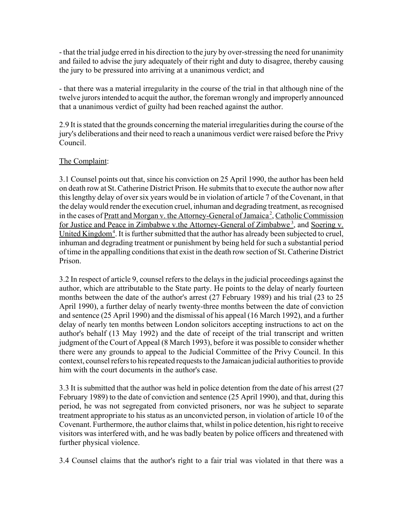- that the trial judge erred in his direction to the jury by over-stressing the need for unanimity and failed to advise the jury adequately of their right and duty to disagree, thereby causing the jury to be pressured into arriving at a unanimous verdict; and

- that there was a material irregularity in the course of the trial in that although nine of the twelve jurors intended to acquit the author, the foreman wrongly and improperly announced that a unanimous verdict of guilty had been reached against the author.

2.9 It is stated that the grounds concerning the material irregularities during the course of the jury's deliberations and their need to reach a unanimous verdict were raised before the Privy Council.

# The Complaint:

3.1 Counsel points out that, since his conviction on 25 April 1990, the author has been held on death row at St. Catherine District Prison. He submits that to execute the author now after this lengthy delay of over six years would be in violation of article 7 of the Covenant, in that the delay would render the execution cruel, inhuman and degrading treatment, as recognised in the cases of Pratt and Morgan v. the Attorney-General of Jamaica<sup>2</sup>, Catholic Commission for Justice and Peace in Zimbabwe v.the Attorney-General of Zimbabwe<sup>3</sup>, and Soering v. United Kingdom<sup>4</sup>. It is further submitted that the author has already been subjected to cruel, inhuman and degrading treatment or punishment by being held for such a substantial period of time in the appalling conditions that exist in the death row section of St. Catherine District Prison.

3.2 In respect of article 9, counsel refers to the delays in the judicial proceedings against the author, which are attributable to the State party. He points to the delay of nearly fourteen months between the date of the author's arrest (27 February 1989) and his trial (23 to 25 April 1990), a further delay of nearly twenty-three months between the date of conviction and sentence (25 April 1990) and the dismissal of his appeal (16 March 1992), and a further delay of nearly ten months between London solicitors accepting instructions to act on the author's behalf (13 May 1992) and the date of receipt of the trial transcript and written judgment of the Court of Appeal (8 March 1993), before it was possible to consider whether there were any grounds to appeal to the Judicial Committee of the Privy Council. In this context, counsel refers to his repeated requests to the Jamaican judicial authorities to provide him with the court documents in the author's case.

3.3 It is submitted that the author was held in police detention from the date of his arrest (27 February 1989) to the date of conviction and sentence (25 April 1990), and that, during this period, he was not segregated from convicted prisoners, nor was he subject to separate treatment appropriate to his status as an unconvicted person, in violation of article 10 of the Covenant. Furthermore, the author claims that, whilst in police detention, his right to receive visitors was interfered with, and he was badly beaten by police officers and threatened with further physical violence.

3.4 Counsel claims that the author's right to a fair trial was violated in that there was a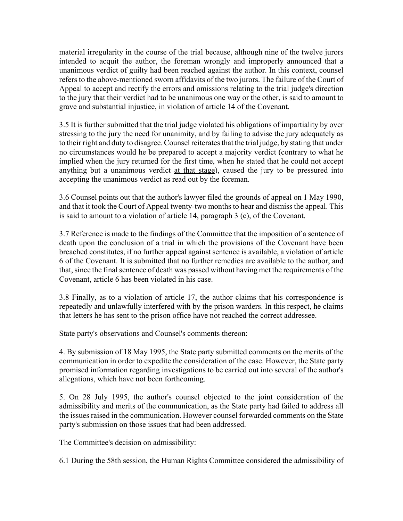material irregularity in the course of the trial because, although nine of the twelve jurors intended to acquit the author, the foreman wrongly and improperly announced that a unanimous verdict of guilty had been reached against the author. In this context, counsel refers to the above-mentioned sworn affidavits of the two jurors. The failure of the Court of Appeal to accept and rectify the errors and omissions relating to the trial judge's direction to the jury that their verdict had to be unanimous one way or the other, is said to amount to grave and substantial injustice, in violation of article 14 of the Covenant.

3.5 It is further submitted that the trial judge violated his obligations of impartiality by over stressing to the jury the need for unanimity, and by failing to advise the jury adequately as to their right and duty to disagree. Counsel reiterates that the trial judge, by stating that under no circumstances would he be prepared to accept a majority verdict (contrary to what he implied when the jury returned for the first time, when he stated that he could not accept anything but a unanimous verdict at that stage), caused the jury to be pressured into accepting the unanimous verdict as read out by the foreman.

3.6 Counsel points out that the author's lawyer filed the grounds of appeal on 1 May 1990, and that it took the Court of Appeal twenty-two months to hear and dismiss the appeal. This is said to amount to a violation of article 14, paragraph 3 (c), of the Covenant.

3.7 Reference is made to the findings of the Committee that the imposition of a sentence of death upon the conclusion of a trial in which the provisions of the Covenant have been breached constitutes, if no further appeal against sentence is available, a violation of article 6 of the Covenant. It is submitted that no further remedies are available to the author, and that, since the final sentence of death was passed without having met the requirements of the Covenant, article 6 has been violated in his case.

3.8 Finally, as to a violation of article 17, the author claims that his correspondence is repeatedly and unlawfully interfered with by the prison warders. In this respect, he claims that letters he has sent to the prison office have not reached the correct addressee.

## State party's observations and Counsel's comments thereon:

4. By submission of 18 May 1995, the State party submitted comments on the merits of the communication in order to expedite the consideration of the case. However, the State party promised information regarding investigations to be carried out into several of the author's allegations, which have not been forthcoming.

5. On 28 July 1995, the author's counsel objected to the joint consideration of the admissibility and merits of the communication, as the State party had failed to address all the issues raised in the communication. However counsel forwarded comments on the State party's submission on those issues that had been addressed.

## The Committee's decision on admissibility:

6.1 During the 58th session, the Human Rights Committee considered the admissibility of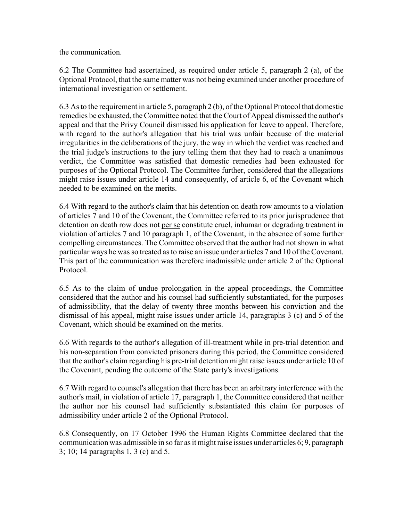the communication.

6.2 The Committee had ascertained, as required under article 5, paragraph 2 (a), of the Optional Protocol, that the same matter was not being examined under another procedure of international investigation or settlement.

6.3 As to the requirement in article 5, paragraph 2 (b), of the Optional Protocol that domestic remedies be exhausted, the Committee noted that the Court of Appeal dismissed the author's appeal and that the Privy Council dismissed his application for leave to appeal. Therefore, with regard to the author's allegation that his trial was unfair because of the material irregularities in the deliberations of the jury, the way in which the verdict was reached and the trial judge's instructions to the jury telling them that they had to reach a unanimous verdict, the Committee was satisfied that domestic remedies had been exhausted for purposes of the Optional Protocol. The Committee further, considered that the allegations might raise issues under article 14 and consequently, of article 6, of the Covenant which needed to be examined on the merits.

6.4 With regard to the author's claim that his detention on death row amounts to a violation of articles 7 and 10 of the Covenant, the Committee referred to its prior jurisprudence that detention on death row does not per se constitute cruel, inhuman or degrading treatment in violation of articles 7 and 10 paragraph 1, of the Covenant, in the absence of some further compelling circumstances. The Committee observed that the author had not shown in what particular ways he was so treated as to raise an issue under articles 7 and 10 of the Covenant. This part of the communication was therefore inadmissible under article 2 of the Optional Protocol.

6.5 As to the claim of undue prolongation in the appeal proceedings, the Committee considered that the author and his counsel had sufficiently substantiated, for the purposes of admissibility, that the delay of twenty three months between his conviction and the dismissal of his appeal, might raise issues under article 14, paragraphs 3 (c) and 5 of the Covenant, which should be examined on the merits.

6.6 With regards to the author's allegation of ill-treatment while in pre-trial detention and his non-separation from convicted prisoners during this period, the Committee considered that the author's claim regarding his pre-trial detention might raise issues under article 10 of the Covenant, pending the outcome of the State party's investigations.

6.7 With regard to counsel's allegation that there has been an arbitrary interference with the author's mail, in violation of article 17, paragraph 1, the Committee considered that neither the author nor his counsel had sufficiently substantiated this claim for purposes of admissibility under article 2 of the Optional Protocol.

6.8 Consequently, on 17 October 1996 the Human Rights Committee declared that the communication was admissible in so far as it might raise issues under articles 6; 9, paragraph 3; 10; 14 paragraphs 1, 3 (c) and 5.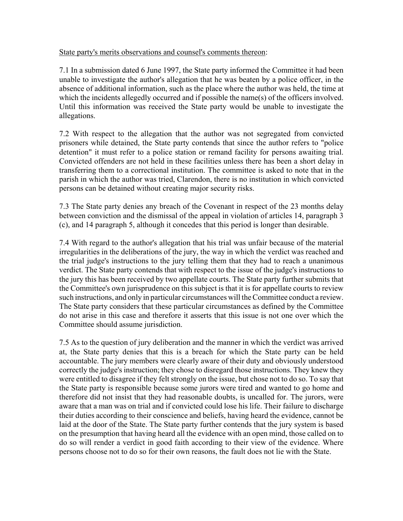#### State party's merits observations and counsel's comments thereon:

7.1 In a submission dated 6 June 1997, the State party informed the Committee it had been unable to investigate the author's allegation that he was beaten by a police officer, in the absence of additional information, such as the place where the author was held, the time at which the incidents allegedly occurred and if possible the name(s) of the officers involved. Until this information was received the State party would be unable to investigate the allegations.

7.2 With respect to the allegation that the author was not segregated from convicted prisoners while detained, the State party contends that since the author refers to "police detention" it must refer to a police station or remand facility for persons awaiting trial. Convicted offenders are not held in these facilities unless there has been a short delay in transferring them to a correctional institution. The committee is asked to note that in the parish in which the author was tried, Clarendon, there is no institution in which convicted persons can be detained without creating major security risks.

7.3 The State party denies any breach of the Covenant in respect of the 23 months delay between conviction and the dismissal of the appeal in violation of articles 14, paragraph 3 (c), and 14 paragraph 5, although it concedes that this period is longer than desirable.

7.4 With regard to the author's allegation that his trial was unfair because of the material irregularities in the deliberations of the jury, the way in which the verdict was reached and the trial judge's instructions to the jury telling them that they had to reach a unanimous verdict. The State party contends that with respect to the issue of the judge's instructions to the jury this has been received by two appellate courts. The State party further submits that the Committee's own jurisprudence on this subject is that it is for appellate courts to review such instructions, and only in particular circumstances will the Committee conduct a review. The State party considers that these particular circumstances as defined by the Committee do not arise in this case and therefore it asserts that this issue is not one over which the Committee should assume jurisdiction.

7.5 As to the question of jury deliberation and the manner in which the verdict was arrived at, the State party denies that this is a breach for which the State party can be held accountable. The jury members were clearly aware of their duty and obviously understood correctly the judge's instruction; they chose to disregard those instructions. They knew they were entitled to disagree if they felt strongly on the issue, but chose not to do so. To say that the State party is responsible because some jurors were tired and wanted to go home and therefore did not insist that they had reasonable doubts, is uncalled for. The jurors, were aware that a man was on trial and if convicted could lose his life. Their failure to discharge their duties according to their conscience and beliefs, having heard the evidence, cannot be laid at the door of the State. The State party further contends that the jury system is based on the presumption that having heard all the evidence with an open mind, those called on to do so will render a verdict in good faith according to their view of the evidence. Where persons choose not to do so for their own reasons, the fault does not lie with the State.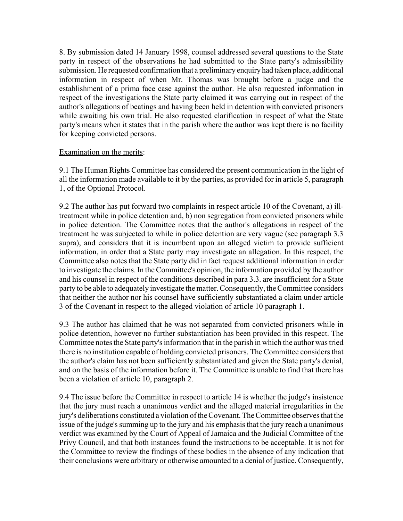8. By submission dated 14 January 1998, counsel addressed several questions to the State party in respect of the observations he had submitted to the State party's admissibility submission. He requested confirmation that a preliminary enquiry had taken place, additional information in respect of when Mr. Thomas was brought before a judge and the establishment of a prima face case against the author. He also requested information in respect of the investigations the State party claimed it was carrying out in respect of the author's allegations of beatings and having been held in detention with convicted prisoners while awaiting his own trial. He also requested clarification in respect of what the State party's means when it states that in the parish where the author was kept there is no facility for keeping convicted persons.

#### Examination on the merits:

9.1 The Human Rights Committee has considered the present communication in the light of all the information made available to it by the parties, as provided for in article 5, paragraph 1, of the Optional Protocol.

9.2 The author has put forward two complaints in respect article 10 of the Covenant, a) illtreatment while in police detention and, b) non segregation from convicted prisoners while in police detention. The Committee notes that the author's allegations in respect of the treatment he was subjected to while in police detention are very vague (see paragraph 3.3 supra), and considers that it is incumbent upon an alleged victim to provide sufficient information, in order that a State party may investigate an allegation. In this respect, the Committee also notes that the State party did in fact request additional information in order to investigate the claims. In the Committee's opinion, the information provided by the author and his counsel in respect of the conditions described in para 3.3. are insufficient for a State party to be able to adequately investigate the matter. Consequently, the Committee considers that neither the author nor his counsel have sufficiently substantiated a claim under article 3 of the Covenant in respect to the alleged violation of article 10 paragraph 1.

9.3 The author has claimed that he was not separated from convicted prisoners while in police detention, however no further substantiation has been provided in this respect. The Committee notes the State party's information that in the parish in which the author was tried there is no institution capable of holding convicted prisoners. The Committee considers that the author's claim has not been sufficiently substantiated and given the State party's denial, and on the basis of the information before it. The Committee is unable to find that there has been a violation of article 10, paragraph 2.

9.4 The issue before the Committee in respect to article 14 is whether the judge's insistence that the jury must reach a unanimous verdict and the alleged material irregularities in the jury's deliberations constituted a violation of the Covenant. The Committee observes that the issue of the judge's summing up to the jury and his emphasis that the jury reach a unanimous verdict was examined by the Court of Appeal of Jamaica and the Judicial Committee of the Privy Council, and that both instances found the instructions to be acceptable. It is not for the Committee to review the findings of these bodies in the absence of any indication that their conclusions were arbitrary or otherwise amounted to a denial of justice. Consequently,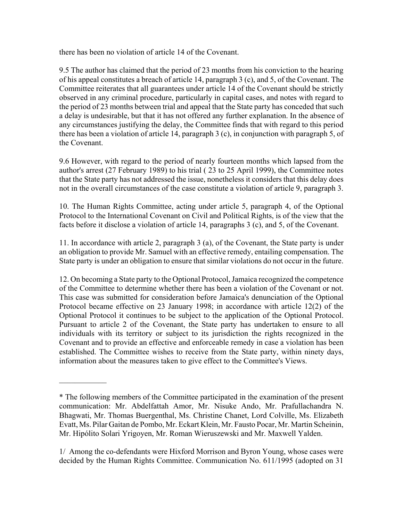there has been no violation of article 14 of the Covenant.

9.5 The author has claimed that the period of 23 months from his conviction to the hearing of his appeal constitutes a breach of article 14, paragraph 3 (c), and 5, of the Covenant. The Committee reiterates that all guarantees under article 14 of the Covenant should be strictly observed in any criminal procedure, particularly in capital cases, and notes with regard to the period of 23 months between trial and appeal that the State party has conceded that such a delay is undesirable, but that it has not offered any further explanation. In the absence of any circumstances justifying the delay, the Committee finds that with regard to this period there has been a violation of article 14, paragraph 3 (c), in conjunction with paragraph 5, of the Covenant.

9.6 However, with regard to the period of nearly fourteen months which lapsed from the author's arrest (27 February 1989) to his trial ( 23 to 25 April 1999), the Committee notes that the State party has not addressed the issue, nonetheless it considers that this delay does not in the overall circumstances of the case constitute a violation of article 9, paragraph 3.

10. The Human Rights Committee, acting under article 5, paragraph 4, of the Optional Protocol to the International Covenant on Civil and Political Rights, is of the view that the facts before it disclose a violation of article 14, paragraphs 3 (c), and 5, of the Covenant.

11. In accordance with article 2, paragraph 3 (a), of the Covenant, the State party is under an obligation to provide Mr. Samuel with an effective remedy, entailing compensation. The State party is under an obligation to ensure that similar violations do not occur in the future.

12. On becoming a State party to the Optional Protocol, Jamaica recognized the competence of the Committee to determine whether there has been a violation of the Covenant or not. This case was submitted for consideration before Jamaica's denunciation of the Optional Protocol became effective on 23 January 1998; in accordance with article 12(2) of the Optional Protocol it continues to be subject to the application of the Optional Protocol. Pursuant to article 2 of the Covenant, the State party has undertaken to ensure to all individuals with its territory or subject to its jurisdiction the rights recognized in the Covenant and to provide an effective and enforceable remedy in case a violation has been established. The Committee wishes to receive from the State party, within ninety days, information about the measures taken to give effect to the Committee's Views.

 $\mathcal{L}_\text{max}$ 

<sup>\*</sup> The following members of the Committee participated in the examination of the present communication: Mr. Abdelfattah Amor, Mr. Nisuke Ando, Mr. Prafullachandra N. Bhagwati, Mr. Thomas Buergenthal, Ms. Christine Chanet, Lord Colville, Ms. Elizabeth Evatt, Ms. Pilar Gaitan de Pombo, Mr. Eckart Klein, Mr. Fausto Pocar, Mr. Martin Scheinin, Mr. HipÛlito Solari Yrigoyen, Mr. Roman Wieruszewski and Mr. Maxwell Yalden.

<sup>1/</sup> Among the co-defendants were Hixford Morrison and Byron Young, whose cases were decided by the Human Rights Committee. Communication No. 611/1995 (adopted on 31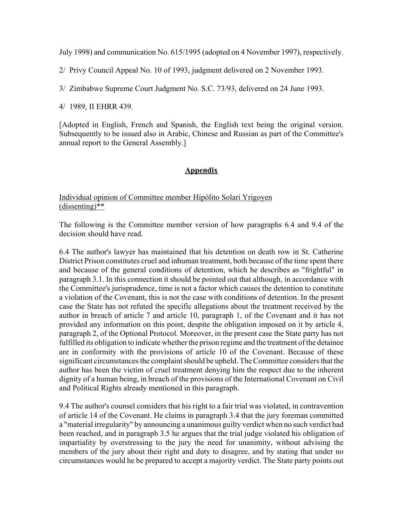July 1998) and communication No. 615/1995 (adopted on 4 November 1997), respectively.

2/ Privy Council Appeal No. 10 of 1993, judgment delivered on 2 November 1993.

3/ Zimbabwe Supreme Court Judgment No. S.C. 73/93, delivered on 24 June 1993.

4/ 1989, II EHRR 439.

[Adopted in English, French and Spanish, the English text being the original version. Subsequently to be issued also in Arabic, Chinese and Russian as part of the Committee's annual report to the General Assembly.]

#### **Appendix**

#### Individual opinion of Committee member Hipólito Solari Yrigoyen (dissenting)\*\*

The following is the Committee member version of how paragraphs 6.4 and 9.4 of the decision should have read.

6.4 The author's lawyer has maintained that his detention on death row in St. Catherine District Prison constitutes cruel and inhuman treatment, both because of the time spent there and because of the general conditions of detention, which he describes as "frightful" in paragraph 3.1. In this connection it should be pointed out that although, in accordance with the Committee's jurisprudence, time is not a factor which causes the detention to constitute a violation of the Covenant, this is not the case with conditions of detention. In the present case the State has not refuted the specific allegations about the treatment received by the author in breach of article 7 and article 10, paragraph 1, of the Covenant and it has not provided any information on this point, despite the obligation imposed on it by article 4, paragraph 2, of the Optional Protocol. Moreover, in the present case the State party has not fulfilled its obligation to indicate whether the prison regime and the treatment of the detainee are in conformity with the provisions of article 10 of the Covenant. Because of these significant circumstances the complaint should be upheld. The Committee considers that the author has been the victim of cruel treatment denying him the respect due to the inherent dignity of a human being, in breach of the provisions of the International Covenant on Civil and Political Rights already mentioned in this paragraph.

9.4 The author's counsel considers that his right to a fair trial was violated, in contravention of article 14 of the Covenant. He claims in paragraph 3.4 that the jury foreman committed a "material irregularity" by announcing a unanimous guilty verdict when no such verdict had been reached, and in paragraph 3.5 he argues that the trial judge violated his obligation of impartiality by overstressing to the jury the need for unanimity, without advising the members of the jury about their right and duty to disagree, and by stating that under no circumstances would he be prepared to accept a majority verdict. The State party points out